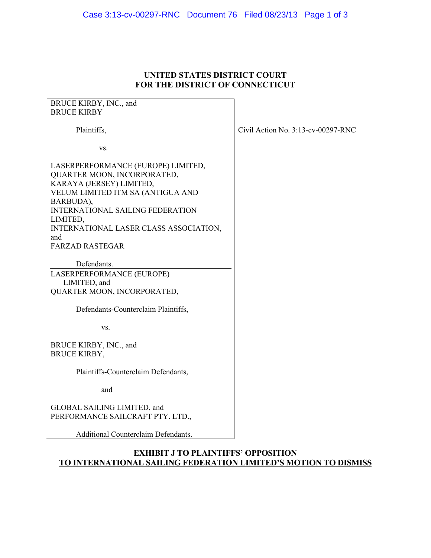### Case 3:13-cv-00297-RNC Document 76 Filed 08/23/13 Page 1 of 3

### **UNITED STATES DISTRICT COURT FOR THE DISTRICT OF CONNECTICUT**

# BRUCE KIRBY, INC., and BRUCE KIRBY

Plaintiffs,

vs.

LASERPERFORMANCE (EUROPE) LIMITED, QUARTER MOON, INCORPORATED, KARAYA (JERSEY) LIMITED, VELUM LIMITED ITM SA (ANTIGUA AND BARBUDA), INTERNATIONAL SAILING FEDERATION LIMITED, INTERNATIONAL LASER CLASS ASSOCIATION, and FARZAD RASTEGAR

 Defendants. LASERPERFORMANCE (EUROPE) LIMITED, and QUARTER MOON, INCORPORATED,

Defendants-Counterclaim Plaintiffs,

vs.

BRUCE KIRBY, INC., and BRUCE KIRBY,

Plaintiffs-Counterclaim Defendants,

and

GLOBAL SAILING LIMITED, and PERFORMANCE SAILCRAFT PTY. LTD.,

Additional Counterclaim Defendants.

# **EXHIBIT J TO PLAINTIFFS' OPPOSITION TO INTERNATIONAL SAILING FEDERATION LIMITED'S MOTION TO DISMISS**

Civil Action No. 3:13-cv-00297-RNC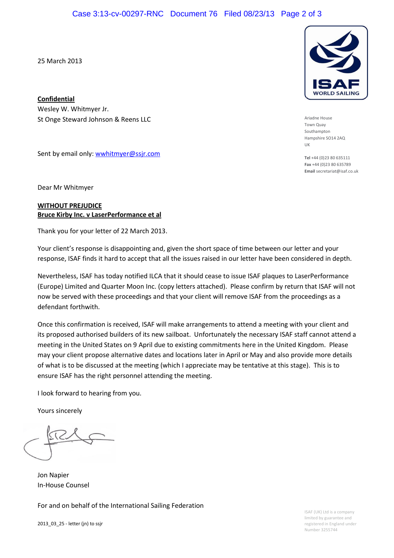25 March 2013

Confidential Wesley W. Whitmyer Jr. St Onge Steward Johnson & Reens LLC

Sent by email only: wwhitmyer@ssjr.com

Dear Mr Whitmyer

## WITHOUT PREJUDICE Bruce Kirby Inc. v LaserPerformance et al

Thank you for your letter of 22 March 2013.

Your client's response is disappointing and, given the short space of time between our letter and your response, ISAF finds it hard to accept that all the issues raised in our letter have been considered in depth.

Nevertheless, ISAF has today notified ILCA that it should cease to issue ISAF plaques to LaserPerformance (Europe) Limited and Quarter Moon Inc. (copy letters attached). Please confirm by return that ISAF will not now be served with these proceedings and that your client will remove ISAF from the proceedings as a defendant forthwith.

Once this confirmation is received, ISAF will make arrangements to attend a meeting with your client and its proposed authorised builders of its new sailboat. Unfortunately the necessary ISAF staff cannot attend a meeting in the United States on 9 April due to existing commitments here in the United Kingdom. Please may your client propose alternative dates and locations later in April or May and also provide more details of what is to be discussed at the meeting (which I appreciate may be tentative at this stage). This is to ensure ISAF has the right personnel attending the meeting.

I look forward to hearing from you.

Yours sincerely

Jon Napier In-House Counsel

For and on behalf of the International Sailing Federation



Number 3255744



Ariadne House Town Quay Southampton Hampshire SO14 2AQ UK

Tel +44 (0)23 80 635111 Fax +44 (0)23 80 635789 Email secretariat@isaf.co.uk